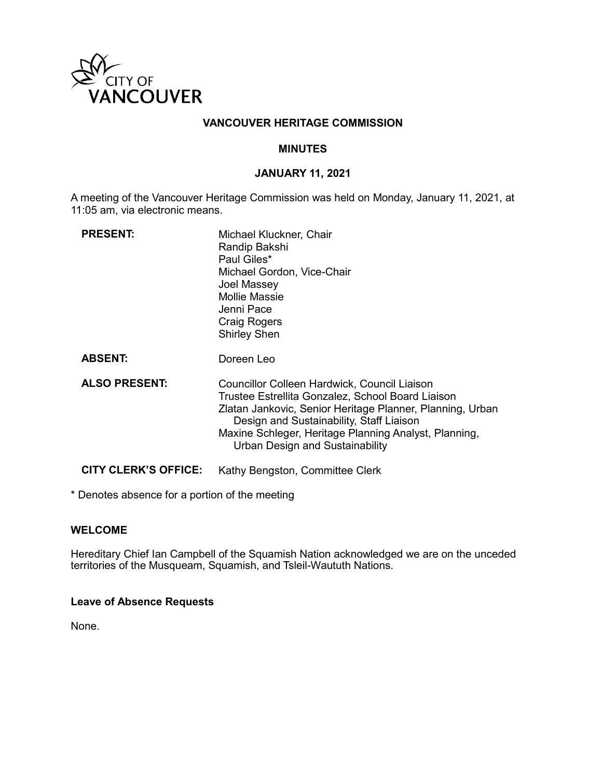

# **VANCOUVER HERITAGE COMMISSION**

### **MINUTES**

### **JANUARY 11, 2021**

A meeting of the Vancouver Heritage Commission was held on Monday, January 11, 2021, at 11:05 am, via electronic means.

| <b>PRESENT:</b>             | Michael Kluckner, Chair<br>Randip Bakshi<br>Paul Giles*<br>Michael Gordon, Vice-Chair<br>Joel Massey<br><b>Mollie Massie</b><br>Jenni Pace<br><b>Craig Rogers</b><br><b>Shirley Shen</b>                                                                                                               |
|-----------------------------|--------------------------------------------------------------------------------------------------------------------------------------------------------------------------------------------------------------------------------------------------------------------------------------------------------|
| <b>ABSENT:</b>              | Doreen Leo                                                                                                                                                                                                                                                                                             |
| <b>ALSO PRESENT:</b>        | Councillor Colleen Hardwick, Council Liaison<br>Trustee Estrellita Gonzalez, School Board Liaison<br>Zlatan Jankovic, Senior Heritage Planner, Planning, Urban<br>Design and Sustainability, Staff Liaison<br>Maxine Schleger, Heritage Planning Analyst, Planning,<br>Urban Design and Sustainability |
| <b>CITY CLERK'S OFFICE:</b> | Kathy Bengston, Committee Clerk                                                                                                                                                                                                                                                                        |

\* Denotes absence for a portion of the meeting

### **WELCOME**

Hereditary Chief Ian Campbell of the Squamish Nation acknowledged we are on the unceded territories of the Musqueam, Squamish, and Tsleil-Waututh Nations.

### **Leave of Absence Requests**

None.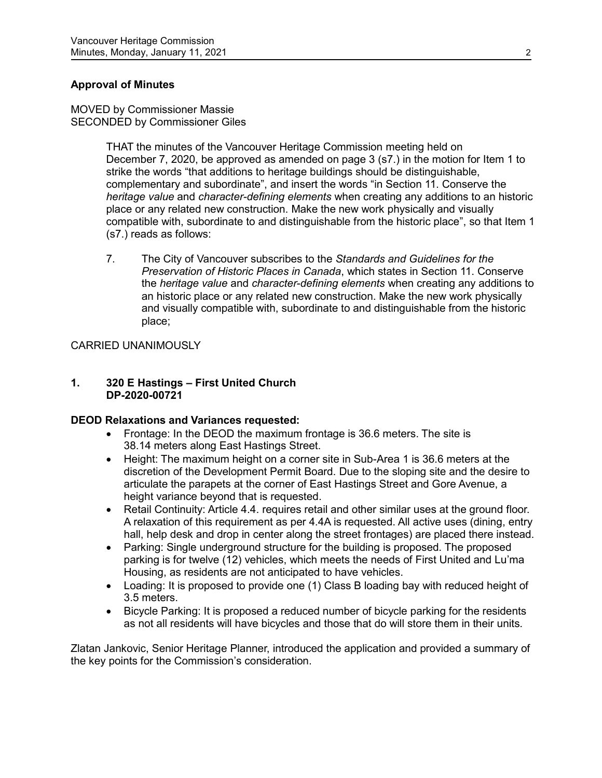# **Approval of Minutes**

MOVED by Commissioner Massie SECONDED by Commissioner Giles

> THAT the minutes of the Vancouver Heritage Commission meeting held on December 7, 2020, be approved as amended on page 3 (s7.) in the motion for Item 1 to strike the words "that additions to heritage buildings should be distinguishable, complementary and subordinate", and insert the words "in Section 11. Conserve the *heritage value* and *character-defining elements* when creating any additions to an historic place or any related new construction. Make the new work physically and visually compatible with, subordinate to and distinguishable from the historic place", so that Item 1 (s7.) reads as follows:

> 7. The City of Vancouver subscribes to the *Standards and Guidelines for the Preservation of Historic Places in Canada*, which states in Section 11. Conserve the *heritage value* and *character-defining elements* when creating any additions to an historic place or any related new construction. Make the new work physically and visually compatible with, subordinate to and distinguishable from the historic place;

# CARRIED UNANIMOUSLY

### **1. 320 E Hastings – First United Church DP-2020-00721**

### **DEOD Relaxations and Variances requested:**

- Frontage: In the DEOD the maximum frontage is 36.6 meters. The site is 38.14 meters along East Hastings Street.
- Height: The maximum height on a corner site in Sub-Area 1 is 36.6 meters at the discretion of the Development Permit Board. Due to the sloping site and the desire to articulate the parapets at the corner of East Hastings Street and Gore Avenue, a height variance beyond that is requested.
- Retail Continuity: Article 4.4. requires retail and other similar uses at the ground floor. A relaxation of this requirement as per 4.4A is requested. All active uses (dining, entry hall, help desk and drop in center along the street frontages) are placed there instead.
- Parking: Single underground structure for the building is proposed. The proposed parking is for twelve (12) vehicles, which meets the needs of First United and Lu'ma Housing, as residents are not anticipated to have vehicles.
- Loading: It is proposed to provide one (1) Class B loading bay with reduced height of 3.5 meters.
- Bicycle Parking: It is proposed a reduced number of bicycle parking for the residents as not all residents will have bicycles and those that do will store them in their units.

Zlatan Jankovic, Senior Heritage Planner, introduced the application and provided a summary of the key points for the Commission's consideration.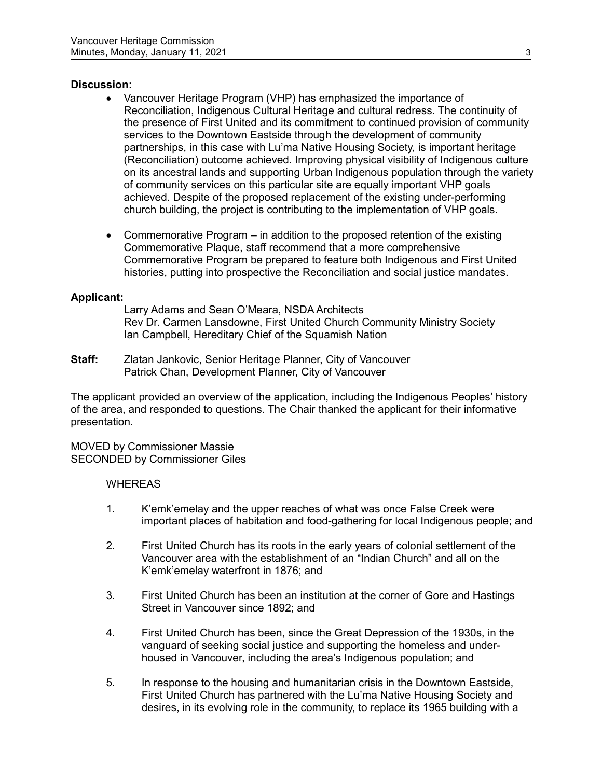# **Discussion:**

- Vancouver Heritage Program (VHP) has emphasized the importance of Reconciliation, Indigenous Cultural Heritage and cultural redress. The continuity of the presence of First United and its commitment to continued provision of community services to the Downtown Eastside through the development of community partnerships, in this case with Lu'ma Native Housing Society, is important heritage (Reconciliation) outcome achieved. Improving physical visibility of Indigenous culture on its ancestral lands and supporting Urban Indigenous population through the variety of community services on this particular site are equally important VHP goals achieved. Despite of the proposed replacement of the existing under-performing church building, the project is contributing to the implementation of VHP goals.
- Commemorative Program in addition to the proposed retention of the existing Commemorative Plaque, staff recommend that a more comprehensive Commemorative Program be prepared to feature both Indigenous and First United histories, putting into prospective the Reconciliation and social justice mandates.

### **Applicant:**

Larry Adams and Sean O'Meara, NSDA Architects Rev Dr. Carmen Lansdowne, First United Church Community Ministry Society Ian Campbell, Hereditary Chief of the Squamish Nation

**Staff:** Zlatan Jankovic, Senior Heritage Planner, City of Vancouver Patrick Chan, Development Planner, City of Vancouver

The applicant provided an overview of the application, including the Indigenous Peoples' history of the area, and responded to questions. The Chair thanked the applicant for their informative presentation.

MOVED by Commissioner Massie SECONDED by Commissioner Giles

### **WHEREAS**

- 1. K'emk'emelay and the upper reaches of what was once False Creek were important places of habitation and food-gathering for local Indigenous people; and
- 2. First United Church has its roots in the early years of colonial settlement of the Vancouver area with the establishment of an "Indian Church" and all on the K'emk'emelay waterfront in 1876; and
- 3. First United Church has been an institution at the corner of Gore and Hastings Street in Vancouver since 1892; and
- 4. First United Church has been, since the Great Depression of the 1930s, in the vanguard of seeking social justice and supporting the homeless and underhoused in Vancouver, including the area's Indigenous population; and
- 5. In response to the housing and humanitarian crisis in the Downtown Eastside, First United Church has partnered with the Lu'ma Native Housing Society and desires, in its evolving role in the community, to replace its 1965 building with a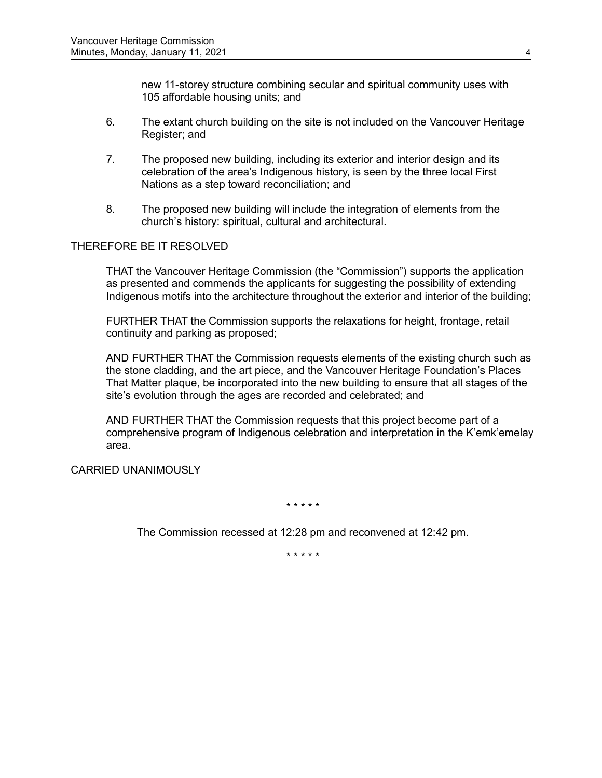new 11-storey structure combining secular and spiritual community uses with 105 affordable housing units; and

- 6. The extant church building on the site is not included on the Vancouver Heritage Register; and
- 7. The proposed new building, including its exterior and interior design and its celebration of the area's Indigenous history, is seen by the three local First Nations as a step toward reconciliation; and
- 8. The proposed new building will include the integration of elements from the church's history: spiritual, cultural and architectural.

# THEREFORE BE IT RESOLVED

THAT the Vancouver Heritage Commission (the "Commission") supports the application as presented and commends the applicants for suggesting the possibility of extending Indigenous motifs into the architecture throughout the exterior and interior of the building;

FURTHER THAT the Commission supports the relaxations for height, frontage, retail continuity and parking as proposed;

AND FURTHER THAT the Commission requests elements of the existing church such as the stone cladding, and the art piece, and the Vancouver Heritage Foundation's Places That Matter plaque, be incorporated into the new building to ensure that all stages of the site's evolution through the ages are recorded and celebrated; and

AND FURTHER THAT the Commission requests that this project become part of a comprehensive program of Indigenous celebration and interpretation in the K'emk'emelay area.

CARRIED UNANIMOUSLY

\* \* \* \* \*

The Commission recessed at 12:28 pm and reconvened at 12:42 pm.

\* \* \* \* \*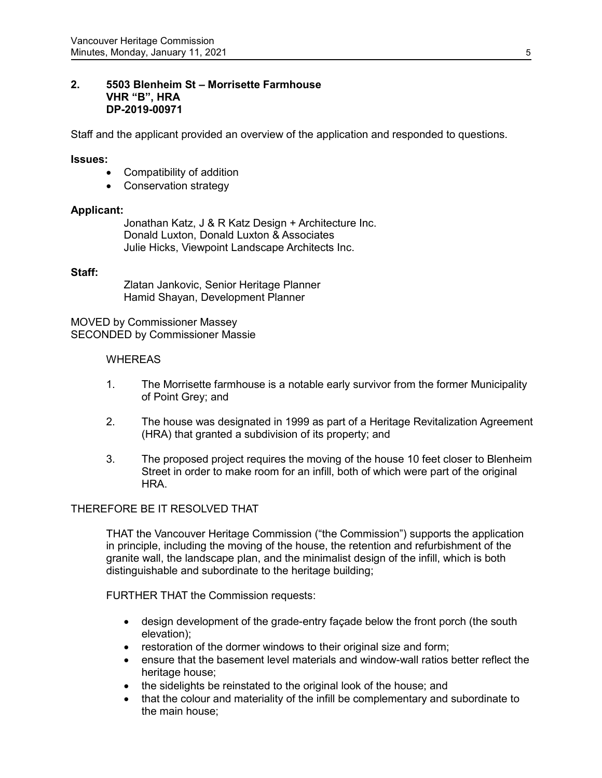### **2. 5503 Blenheim St – Morrisette Farmhouse VHR "B", HRA DP-2019-00971**

Staff and the applicant provided an overview of the application and responded to questions.

### **Issues:**

- Compatibility of addition
- Conservation strategy

### **Applicant:**

Jonathan Katz, J & R Katz Design + Architecture Inc. Donald Luxton, Donald Luxton & Associates Julie Hicks, Viewpoint Landscape Architects Inc.

#### **Staff:**

Zlatan Jankovic, Senior Heritage Planner Hamid Shayan, Development Planner

MOVED by Commissioner Massey SECONDED by Commissioner Massie

### **WHEREAS**

- 1. The Morrisette farmhouse is a notable early survivor from the former Municipality of Point Grey; and
- 2. The house was designated in 1999 as part of a Heritage Revitalization Agreement (HRA) that granted a subdivision of its property; and
- 3. The proposed project requires the moving of the house 10 feet closer to Blenheim Street in order to make room for an infill, both of which were part of the original HRA.

### THEREFORE BE IT RESOLVED THAT

THAT the Vancouver Heritage Commission ("the Commission") supports the application in principle, including the moving of the house, the retention and refurbishment of the granite wall, the landscape plan, and the minimalist design of the infill, which is both distinguishable and subordinate to the heritage building;

FURTHER THAT the Commission requests:

- design development of the grade-entry façade below the front porch (the south elevation);
- restoration of the dormer windows to their original size and form;
- ensure that the basement level materials and window-wall ratios better reflect the heritage house;
- the sidelights be reinstated to the original look of the house; and
- that the colour and materiality of the infill be complementary and subordinate to the main house;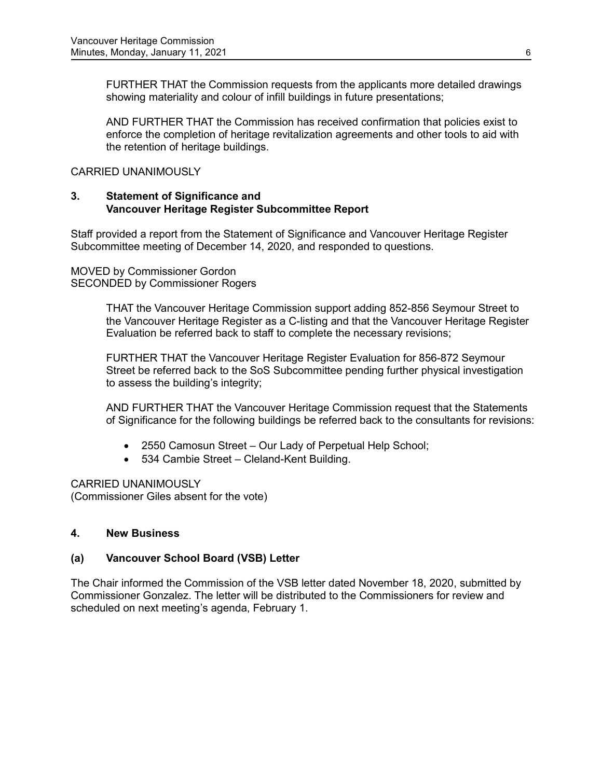FURTHER THAT the Commission requests from the applicants more detailed drawings showing materiality and colour of infill buildings in future presentations;

AND FURTHER THAT the Commission has received confirmation that policies exist to enforce the completion of heritage revitalization agreements and other tools to aid with the retention of heritage buildings.

CARRIED UNANIMOUSLY

# **3. Statement of Significance and Vancouver Heritage Register Subcommittee Report**

Staff provided a report from the Statement of Significance and Vancouver Heritage Register Subcommittee meeting of December 14, 2020, and responded to questions.

MOVED by Commissioner Gordon SECONDED by Commissioner Rogers

> THAT the Vancouver Heritage Commission support adding 852-856 Seymour Street to the Vancouver Heritage Register as a C-listing and that the Vancouver Heritage Register Evaluation be referred back to staff to complete the necessary revisions;

FURTHER THAT the Vancouver Heritage Register Evaluation for 856-872 Seymour Street be referred back to the SoS Subcommittee pending further physical investigation to assess the building's integrity;

AND FURTHER THAT the Vancouver Heritage Commission request that the Statements of Significance for the following buildings be referred back to the consultants for revisions:

- 2550 Camosun Street Our Lady of Perpetual Help School;
- 534 Cambie Street Cleland-Kent Building.

CARRIED UNANIMOUSLY (Commissioner Giles absent for the vote)

# **4. New Business**

# **(a) Vancouver School Board (VSB) Letter**

The Chair informed the Commission of the VSB letter dated November 18, 2020, submitted by Commissioner Gonzalez. The letter will be distributed to the Commissioners for review and scheduled on next meeting's agenda, February 1.